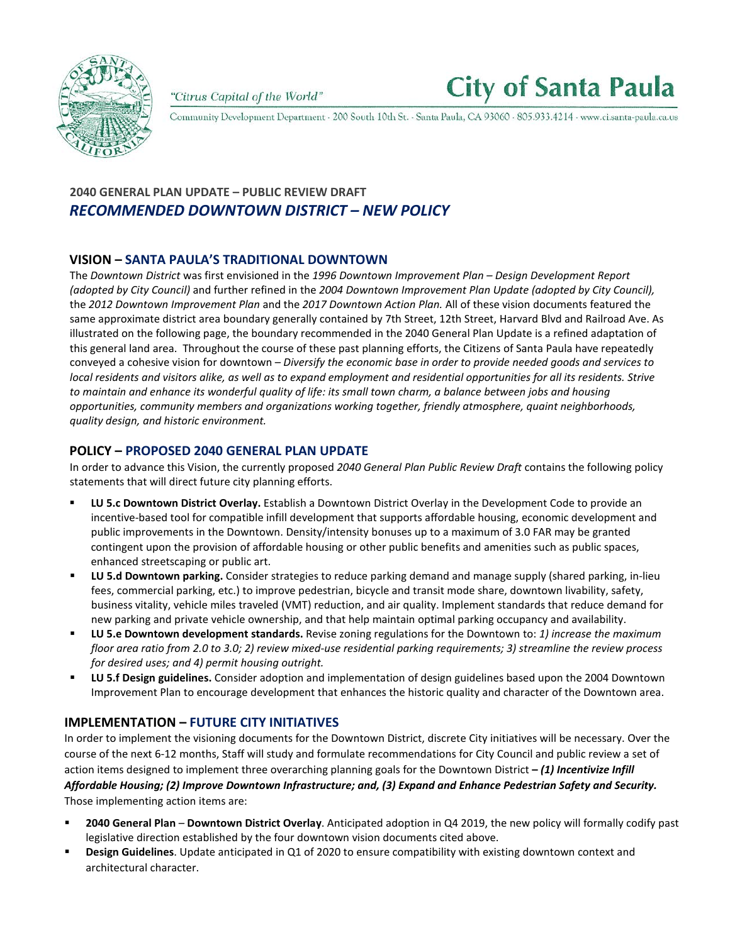

"Citrus Capital of the World"



Community Development Department - 200 South 10th St. - Santa Paula, CA 93060 - 805.933.4214 - www.ci.santa-paula.ca.us

# **2040 GENERAL PLAN UPDATE – PUBLIC REVIEW DRAFT** *RECOMMENDED DOWNTOWN DISTRICT – NEW POLICY*

### **VISION – SANTA PAULA'S TRADITIONAL DOWNTOWN**

The *Downtown District* was first envisioned in the *1996 Downtown Improvement Plan – Design Development Report (adopted by City Council)* and further refined in the *2004 Downtown Improvement Plan Update (adopted by City Council),* the *2012 Downtown Improvement Plan* and the *2017 Downtown Action Plan.* All of these vision documents featured the same approximate district area boundary generally contained by 7th Street, 12th Street, Harvard Blvd and Railroad Ave. As illustrated on the following page, the boundary recommended in the 2040 General Plan Update is a refined adaptation of this general land area. Throughout the course of these past planning efforts, the Citizens of Santa Paula have repeatedly conveyed a cohesive vision for downtown – *Diversify the economic base in order to provide needed goods and services to local residents and visitors alike, as well as to expand employment and residential opportunities for all its residents. Strive to maintain and enhance its wonderful quality of life: its small town charm, a balance between jobs and housing opportunities, community members and organizations working together, friendly atmosphere, quaint neighborhoods, quality design, and historic environment.*

### **POLICY – PROPOSED 2040 GENERAL PLAN UPDATE**

In order to advance this Vision, the currently proposed *2040 General Plan Public Review Draft* contains the following policy statements that will direct future city planning efforts.

- **LU 5.c Downtown District Overlay.** Establish a Downtown District Overlay in the Development Code to provide an incentive-based tool for compatible infill development that supports affordable housing, economic development and public improvements in the Downtown. Density/intensity bonuses up to a maximum of 3.0 FAR may be granted contingent upon the provision of affordable housing or other public benefits and amenities such as public spaces, enhanced streetscaping or public art.
- **LU 5.d Downtown parking.** Consider strategies to reduce parking demand and manage supply (shared parking, in-lieu fees, commercial parking, etc.) to improve pedestrian, bicycle and transit mode share, downtown livability, safety, business vitality, vehicle miles traveled (VMT) reduction, and air quality. Implement standards that reduce demand for new parking and private vehicle ownership, and that help maintain optimal parking occupancy and availability.
- **LU 5.e Downtown development standards.** Revise zoning regulations for the Downtown to: *1) increase the maximum floor area ratio from 2.0 to 3.0; 2) review mixed-use residential parking requirements; 3) streamline the review process for desired uses; and 4) permit housing outright.*
- **LU 5.f Design guidelines.** Consider adoption and implementation of design guidelines based upon the 2004 Downtown Improvement Plan to encourage development that enhances the historic quality and character of the Downtown area.

## **IMPLEMENTATION – FUTURE CITY INITIATIVES**

In order to implement the visioning documents for the Downtown District, discrete City initiatives will be necessary. Over the course of the next 6-12 months, Staff will study and formulate recommendations for City Council and public review a set of action items designed to implement three overarching planning goals for the Downtown District **–** *(1) Incentivize Infill Affordable Housing; (2) Improve Downtown Infrastructure; and, (3) Expand and Enhance Pedestrian Safety and Security.* Those implementing action items are:

- **2040 General Plan Downtown District Overlay**. Anticipated adoption in Q4 2019, the new policy will formally codify past legislative direction established by the four downtown vision documents cited above.
- **Design Guidelines**. Update anticipated in Q1 of 2020 to ensure compatibility with existing downtown context and architectural character.